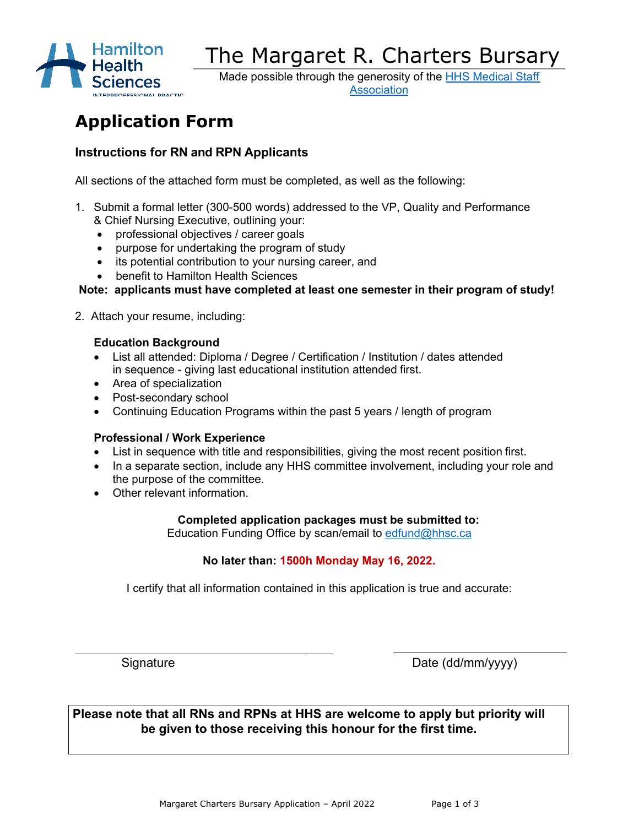

# The Margaret R. Charters Bursary

Made possible through the generosity of the [HHS Medical Staff](https://www.hhs-msa.com/)  [Association](https://www.hhs-msa.com/)

# **Application Form**

## **Instructions for RN and RPN Applicants**

All sections of the attached form must be completed, as well as the following:

- 1. Submit a formal letter (300-500 words) addressed to the VP, Quality and Performance & Chief Nursing Executive, outlining your:
	- professional objectives / career goals
	- purpose for undertaking the program of study
	- its potential contribution to your nursing career, and
	- benefit to Hamilton Health Sciences

**Note: applicants must have completed at least one semester in their program of study!**

2. Attach your resume, including:

#### **Education Background**

- List all attended: Diploma / Degree / Certification / Institution / dates attended in sequence - giving last educational institution attended first.
- Area of specialization
- Post-secondary school
- Continuing Education Programs within the past 5 years / length of program

#### **Professional / Work Experience**

- List in sequence with title and responsibilities, giving the most recent position first.
- In a separate section, include any HHS committee involvement, including your role and the purpose of the committee.
- Other relevant information.

#### **Completed application packages must be submitted to:**

Education Funding Office by scan/email to [edfund@hhsc.ca](mailto:edfund@hhsc.ca)

### **No later than: 1500h Monday May 16, 2022.**

I certify that all information contained in this application is true and accurate:

Signature Date (dd/mm/yyyy)

**Please note that all RNs and RPNs at HHS are welcome to apply but priority will be given to those receiving this honour for the first time.**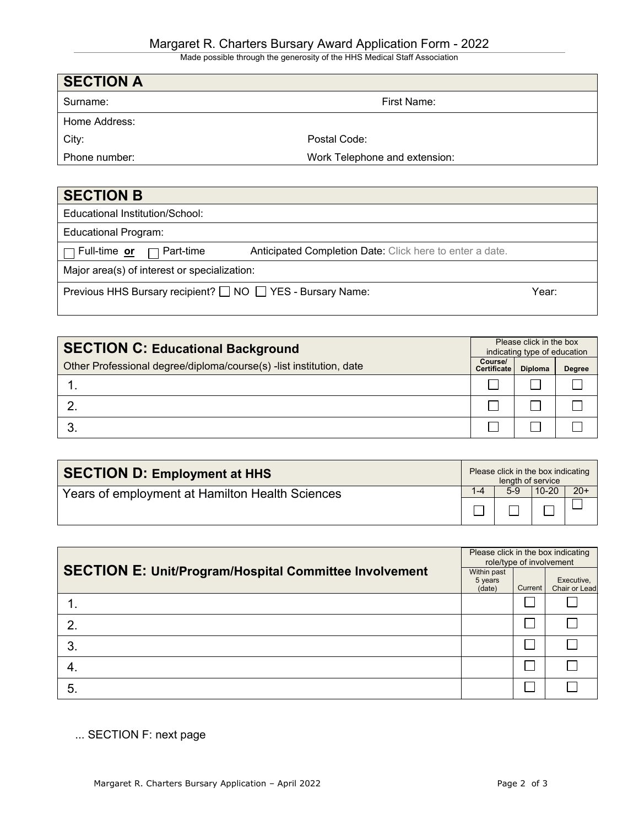Made possible through the generosity of the HHS Medical Staff Association

| <b>SECTION A</b> |                               |
|------------------|-------------------------------|
| Surname:         | First Name:                   |
| Home Address:    |                               |
| City:            | Postal Code:                  |
| Phone number:    | Work Telephone and extension: |
|                  |                               |

| <b>SECTION B</b>                                           |                                                          |       |
|------------------------------------------------------------|----------------------------------------------------------|-------|
| Educational Institution/School:                            |                                                          |       |
| <b>Educational Program:</b>                                |                                                          |       |
| $\Box$ Full-time or $\Box$ Part-time                       | Anticipated Completion Date: Click here to enter a date. |       |
| Major area(s) of interest or specialization:               |                                                          |       |
| Previous HHS Bursary recipient? □ NO □ YES - Bursary Name: |                                                          | Year: |
|                                                            |                                                          |       |

| <b>SECTION C: Educational Background</b>                            |                               | Please click in the box<br>indicating type of education |               |  |
|---------------------------------------------------------------------|-------------------------------|---------------------------------------------------------|---------------|--|
| Other Professional degree/diploma/course(s) -list institution, date | Course/<br><b>Certificate</b> | <b>Diploma</b>                                          | <b>Degree</b> |  |
|                                                                     |                               |                                                         |               |  |
|                                                                     |                               |                                                         |               |  |
|                                                                     |                               |                                                         |               |  |

| <b>SECTION D: Employment at HHS</b>             | Please click in the box indicating<br>length of service |     |           |       |
|-------------------------------------------------|---------------------------------------------------------|-----|-----------|-------|
| Years of employment at Hamilton Health Sciences | $1 - 4$                                                 | 5-9 | $10 - 20$ | $20+$ |
|                                                 |                                                         |     |           |       |

| <b>SECTION E: Unit/Program/Hospital Committee Involvement</b> |  | Please click in the box indicating<br>role/type of involvement |                             |  |  |
|---------------------------------------------------------------|--|----------------------------------------------------------------|-----------------------------|--|--|
|                                                               |  | <b>Current</b>                                                 | Executive,<br>Chair or Lead |  |  |
|                                                               |  |                                                                |                             |  |  |
| 2                                                             |  |                                                                |                             |  |  |
| 3.                                                            |  |                                                                |                             |  |  |
| 4.                                                            |  |                                                                |                             |  |  |
| 5.                                                            |  |                                                                |                             |  |  |

... SECTION F: next page